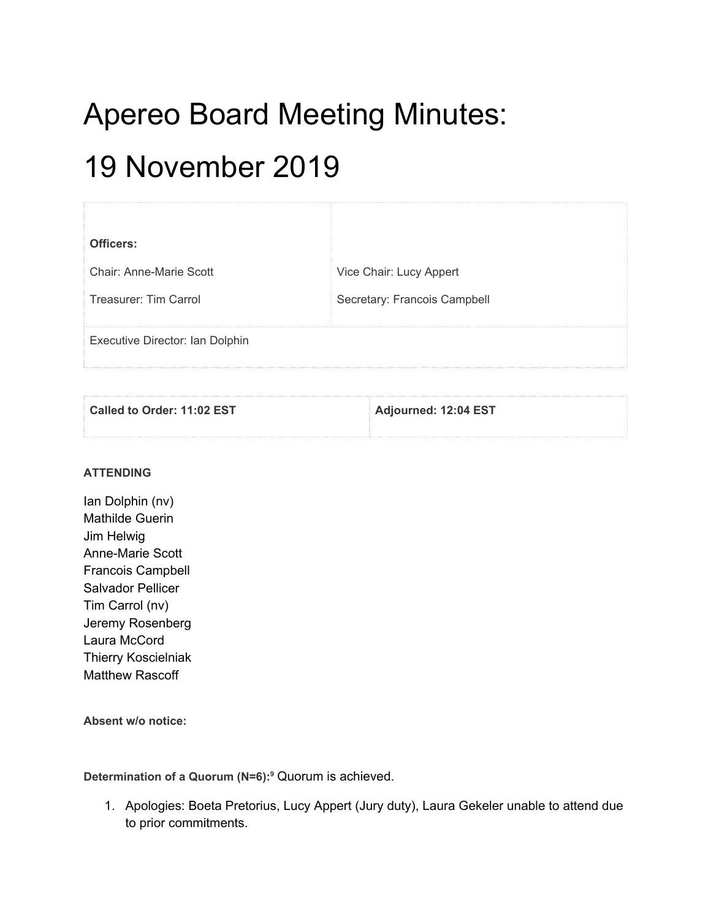# Apereo Board Meeting Minutes:

# 19 November 2019

| Officers:                       |                              |
|---------------------------------|------------------------------|
| Chair: Anne-Marie Scott         | Vice Chair: Lucy Appert      |
| Treasurer: Tim Carrol           | Secretary: Francois Campbell |
|                                 |                              |
| Executive Director: Ian Dolphin |                              |
|                                 |                              |

| Called to Order: 11:02 EST | Adjourned: 12:04 EST |
|----------------------------|----------------------|
|                            |                      |

#### **ATTENDING**

Ian Dolphin (nv) Mathilde Guerin Jim Helwig Anne-Marie Scott Francois Campbell Salvador Pellicer Tim Carrol (nv) Jeremy Rosenberg Laura McCord Thierry Koscielniak Matthew Rascoff

**Absent w/o notice:**

**Determination of a Quorum (N=6): <sup>9</sup>** Quorum is achieved.

1. Apologies: Boeta Pretorius, Lucy Appert (Jury duty), Laura Gekeler unable to attend due to prior commitments.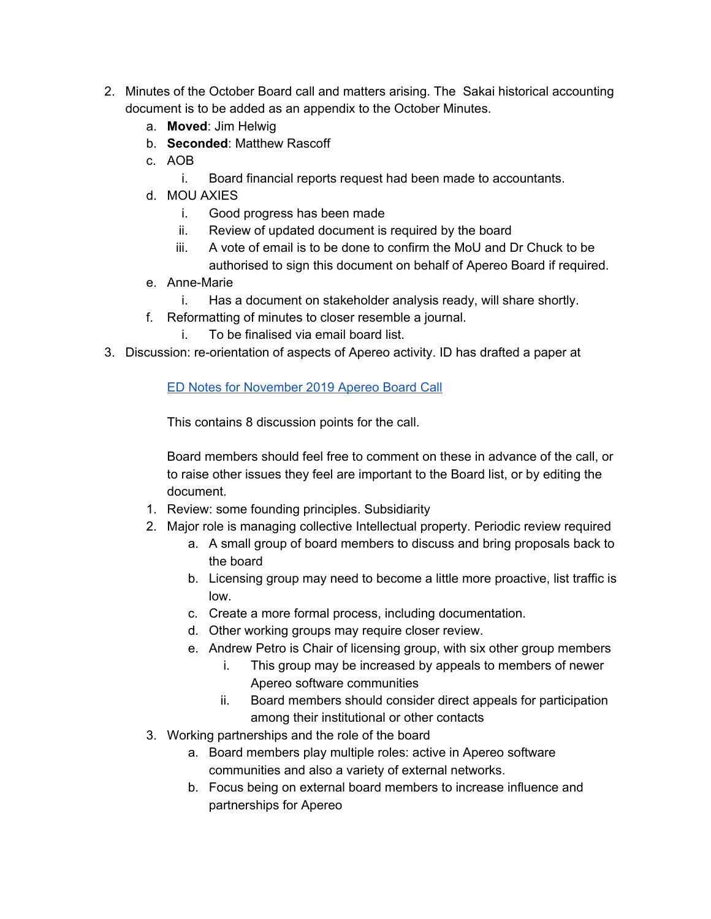- 2. Minutes of the October Board call and matters arising. The Sakai historical accounting document is to be added as an appendix to the October Minutes.
	- a. **Moved**: Jim Helwig
	- b. **Seconded**: Matthew Rascoff
	- c. AOB
		- i. Board financial reports request had been made to accountants.
	- d. MOU AXIES
		- i. Good progress has been made
		- ii. Review of updated document is required by the board
		- iii. A vote of email is to be done to confirm the MoU and Dr Chuck to be authorised to sign this document on behalf of Apereo Board if required.
	- e. Anne-Marie
		- i. Has a document on stakeholder analysis ready, will share shortly.
	- f. Reformatting of minutes to closer resemble a journal.
		- i. To be finalised via email board list.
- 3. Discussion: re-orientation of aspects of Apereo activity. ID has drafted a paper at

#### ED Notes for [November](https://docs.google.com/document/d/1Ebm3P-v6FUtQ75PkbD1J6c1_33Zql3xBZxw-DeEyeVk/edit) 2019 Apereo Board Call

This contains 8 discussion points for the call.

Board members should feel free to comment on these in advance of the call, or to raise other issues they feel are important to the Board list, or by editing the document.

- 1. Review: some founding principles. Subsidiarity
- 2. Major role is managing collective Intellectual property. Periodic review required
	- a. A small group of board members to discuss and bring proposals back to the board
	- b. Licensing group may need to become a little more proactive, list traffic is low.
	- c. Create a more formal process, including documentation.
	- d. Other working groups may require closer review.
	- e. Andrew Petro is Chair of licensing group, with six other group members
		- i. This group may be increased by appeals to members of newer Apereo software communities
		- ii. Board members should consider direct appeals for participation among their institutional or other contacts
- 3. Working partnerships and the role of the board
	- a. Board members play multiple roles: active in Apereo software communities and also a variety of external networks.
	- b. Focus being on external board members to increase influence and partnerships for Apereo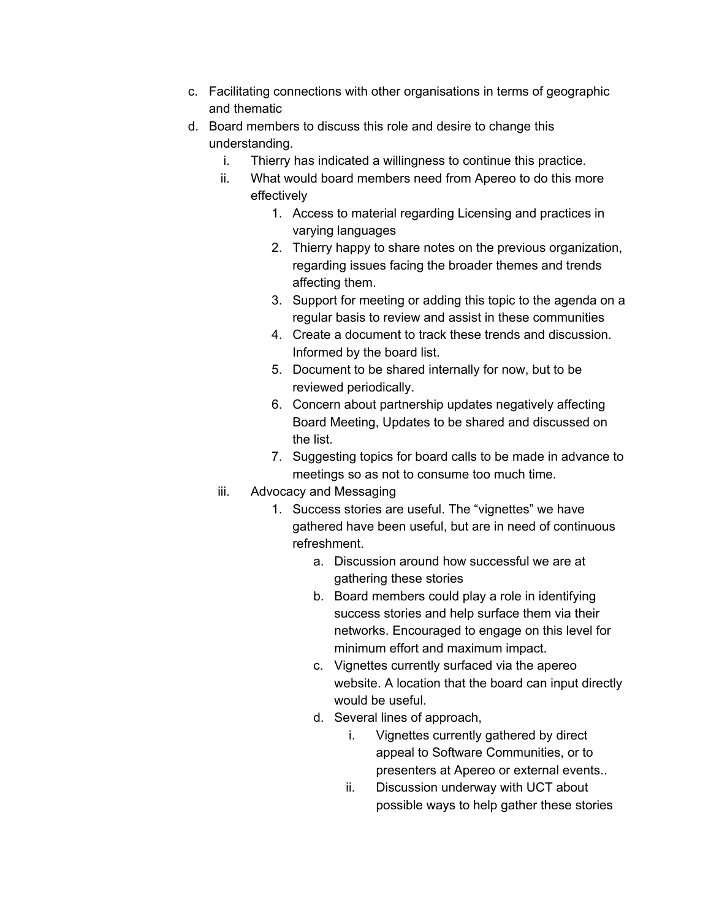- c. Facilitating connections with other organisations in terms of geographic and thematic
- d. Board members to discuss this role and desire to change this understanding.
	- i. Thierry has indicated a willingness to continue this practice.
	- ii. What would board members need from Apereo to do this more effectively
		- 1. Access to material regarding Licensing and practices in varying languages
		- 2. Thierry happy to share notes on the previous organization, regarding issues facing the broader themes and trends affecting them.
		- 3. Support for meeting or adding this topic to the agenda on a regular basis to review and assist in these communities
		- 4. Create a document to track these trends and discussion. Informed by the board list.
		- 5. Document to be shared internally for now, but to be reviewed periodically.
		- 6. Concern about partnership updates negatively affecting Board Meeting, Updates to be shared and discussed on the list.
		- 7. Suggesting topics for board calls to be made in advance to meetings so as not to consume too much time.
	- iii. Advocacy and Messaging
		- 1. Success stories are useful. The "vignettes" we have gathered have been useful, but are in need of continuous refreshment.
			- a. Discussion around how successful we are at gathering these stories
			- b. Board members could play a role in identifying success stories and help surface them via their networks. Encouraged to engage on this level for minimum effort and maximum impact.
			- c. Vignettes currently surfaced via the apereo website. A location that the board can input directly would be useful.
			- d. Several lines of approach,
				- i. Vignettes currently gathered by direct appeal to Software Communities, or to presenters at Apereo or external events..
				- ii. Discussion underway with UCT about possible ways to help gather these stories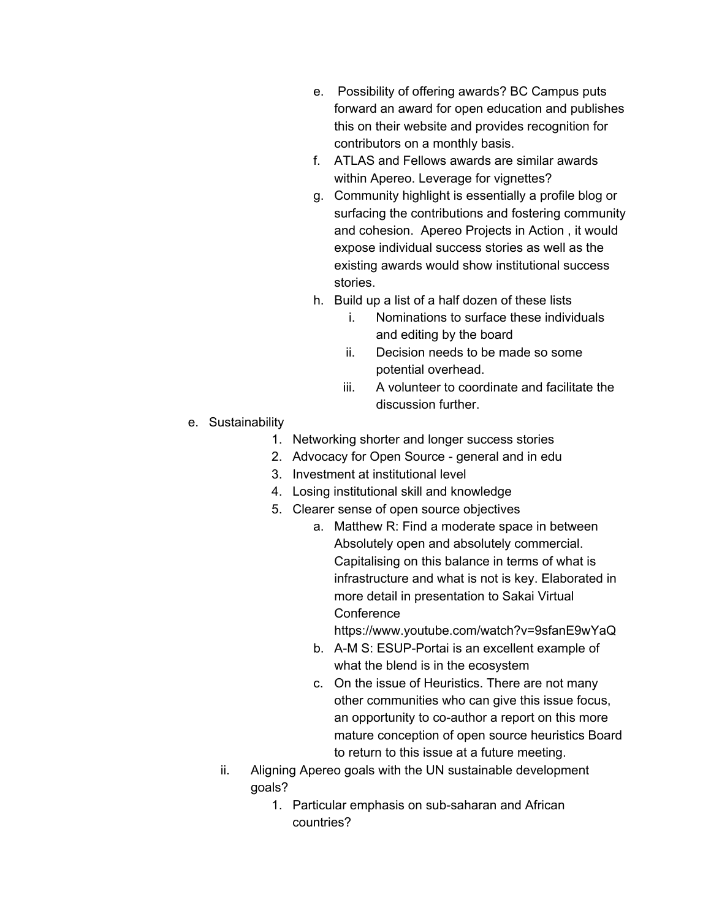- e. Possibility of offering awards? BC Campus puts forward an award for open education and publishes this on their website and provides recognition for contributors on a monthly basis.
- f. ATLAS and Fellows awards are similar awards within Apereo. Leverage for vignettes?
- g. Community highlight is essentially a profile blog or surfacing the contributions and fostering community and cohesion. Apereo Projects in Action , it would expose individual success stories as well as the existing awards would show institutional success stories.
- h. Build up a list of a half dozen of these lists
	- i. Nominations to surface these individuals and editing by the board
	- ii. Decision needs to be made so some potential overhead.
	- iii. A volunteer to coordinate and facilitate the discussion further.
- e. Sustainability
	- 1. Networking shorter and longer success stories
	- 2. Advocacy for Open Source general and in edu
	- 3. Investment at institutional level
	- 4. Losing institutional skill and knowledge
	- 5. Clearer sense of open source objectives
		- a. Matthew R: Find a moderate space in between Absolutely open and absolutely commercial. Capitalising on this balance in terms of what is infrastructure and what is not is key. Elaborated in more detail in presentation to Sakai Virtual **Conference**

https://www.youtube.com/watch?v=9sfanE9wYaQ

- b. A-M S: ESUP-Portai is an excellent example of what the blend is in the ecosystem
- c. On the issue of Heuristics. There are not many other communities who can give this issue focus, an opportunity to co-author a report on this more mature conception of open source heuristics Board to return to this issue at a future meeting.
- ii. Aligning Apereo goals with the UN sustainable development goals?
	- 1. Particular emphasis on sub-saharan and African countries?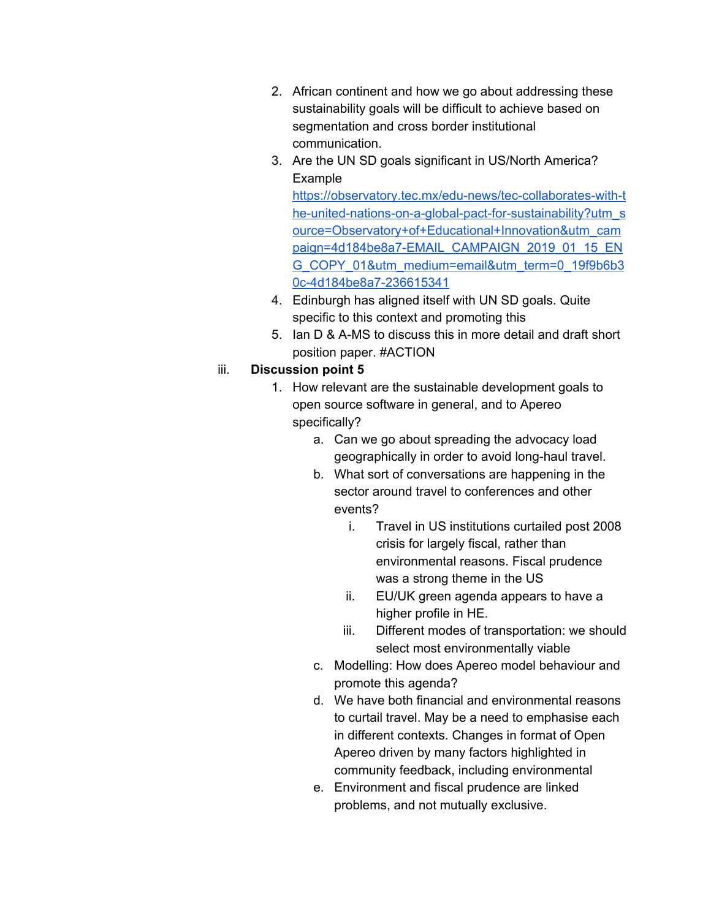- 2. African continent and how we go about addressing these sustainability goals will be difficult to achieve based on segmentation and cross border institutional communication.
- 3. Are the UN SD goals significant in US/North America? Example

[https://observatory.tec.mx/edu-news/tec-collaborates-with-t](https://observatory.tec.mx/edu-news/tec-collaborates-with-the-united-nations-on-a-global-pact-for-sustainability?utm_source=Observatory+of+Educational+Innovation&utm_campaign=4d184be8a7-EMAIL_CAMPAIGN_2019_01_15_ENG_COPY_01&utm_medium=email&utm_term=0_19f9b6b30c-4d184be8a7-236615341) [he-united-nations-on-a-global-pact-for-sustainability?utm\\_s](https://observatory.tec.mx/edu-news/tec-collaborates-with-the-united-nations-on-a-global-pact-for-sustainability?utm_source=Observatory+of+Educational+Innovation&utm_campaign=4d184be8a7-EMAIL_CAMPAIGN_2019_01_15_ENG_COPY_01&utm_medium=email&utm_term=0_19f9b6b30c-4d184be8a7-236615341) [ource=Observatory+of+Educational+Innovation&utm\\_cam](https://observatory.tec.mx/edu-news/tec-collaborates-with-the-united-nations-on-a-global-pact-for-sustainability?utm_source=Observatory+of+Educational+Innovation&utm_campaign=4d184be8a7-EMAIL_CAMPAIGN_2019_01_15_ENG_COPY_01&utm_medium=email&utm_term=0_19f9b6b30c-4d184be8a7-236615341) [paign=4d184be8a7-EMAIL\\_CAMPAIGN\\_2019\\_01\\_15\\_EN](https://observatory.tec.mx/edu-news/tec-collaborates-with-the-united-nations-on-a-global-pact-for-sustainability?utm_source=Observatory+of+Educational+Innovation&utm_campaign=4d184be8a7-EMAIL_CAMPAIGN_2019_01_15_ENG_COPY_01&utm_medium=email&utm_term=0_19f9b6b30c-4d184be8a7-236615341) [G\\_COPY\\_01&utm\\_medium=email&utm\\_term=0\\_19f9b6b3](https://observatory.tec.mx/edu-news/tec-collaborates-with-the-united-nations-on-a-global-pact-for-sustainability?utm_source=Observatory+of+Educational+Innovation&utm_campaign=4d184be8a7-EMAIL_CAMPAIGN_2019_01_15_ENG_COPY_01&utm_medium=email&utm_term=0_19f9b6b30c-4d184be8a7-236615341) [0c-4d184be8a7-236615341](https://observatory.tec.mx/edu-news/tec-collaborates-with-the-united-nations-on-a-global-pact-for-sustainability?utm_source=Observatory+of+Educational+Innovation&utm_campaign=4d184be8a7-EMAIL_CAMPAIGN_2019_01_15_ENG_COPY_01&utm_medium=email&utm_term=0_19f9b6b30c-4d184be8a7-236615341)

- 4. Edinburgh has aligned itself with UN SD goals. Quite specific to this context and promoting this
- 5. Ian D & A-MS to discuss this in more detail and draft short position paper. #ACTION

#### iii. **Discussion point 5**

- 1. How relevant are the sustainable development goals to open source software in general, and to Apereo specifically?
	- a. Can we go about spreading the advocacy load geographically in order to avoid long-haul travel.
	- b. What sort of conversations are happening in the sector around travel to conferences and other events?
		- i. Travel in US institutions curtailed post 2008 crisis for largely fiscal, rather than environmental reasons. Fiscal prudence was a strong theme in the US
		- ii. EU/UK green agenda appears to have a higher profile in HE.
		- iii. Different modes of transportation: we should select most environmentally viable
	- c. Modelling: How does Apereo model behaviour and promote this agenda?
	- d. We have both financial and environmental reasons to curtail travel. May be a need to emphasise each in different contexts. Changes in format of Open Apereo driven by many factors highlighted in community feedback, including environmental
	- e. Environment and fiscal prudence are linked problems, and not mutually exclusive.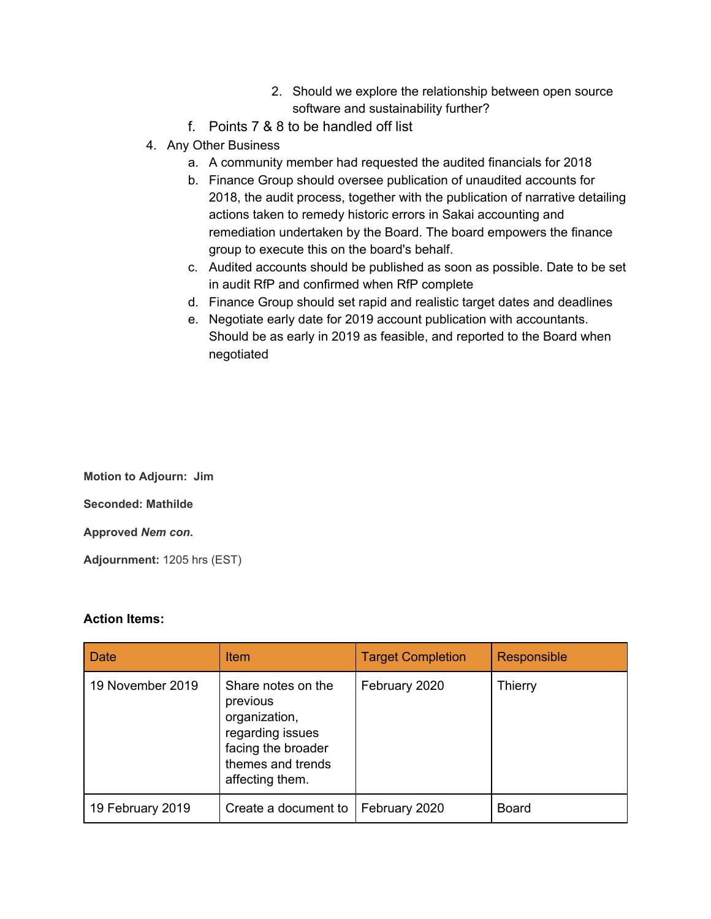- 2. Should we explore the relationship between open source software and sustainability further?
- f. Points 7 & 8 to be handled off list
- 4. Any Other Business
	- a. A community member had requested the audited financials for 2018
	- b. Finance Group should oversee publication of unaudited accounts for 2018, the audit process, together with the publication of narrative detailing actions taken to remedy historic errors in Sakai accounting and remediation undertaken by the Board. The board empowers the finance group to execute this on the board's behalf.
	- c. Audited accounts should be published as soon as possible. Date to be set in audit RfP and confirmed when RfP complete
	- d. Finance Group should set rapid and realistic target dates and deadlines
	- e. Negotiate early date for 2019 account publication with accountants. Should be as early in 2019 as feasible, and reported to the Board when negotiated

**Motion to Adjourn: Jim Seconded: Mathilde Approved** *Nem con***. Adjournment:** 1205 hrs (EST)

#### **Action Items:**

| Date             | <b>Item</b>                                                                                                                       | <b>Target Completion</b> | Responsible  |
|------------------|-----------------------------------------------------------------------------------------------------------------------------------|--------------------------|--------------|
| 19 November 2019 | Share notes on the<br>previous<br>organization,<br>regarding issues<br>facing the broader<br>themes and trends<br>affecting them. | February 2020            | Thierry      |
| 19 February 2019 | Create a document to                                                                                                              | February 2020            | <b>Board</b> |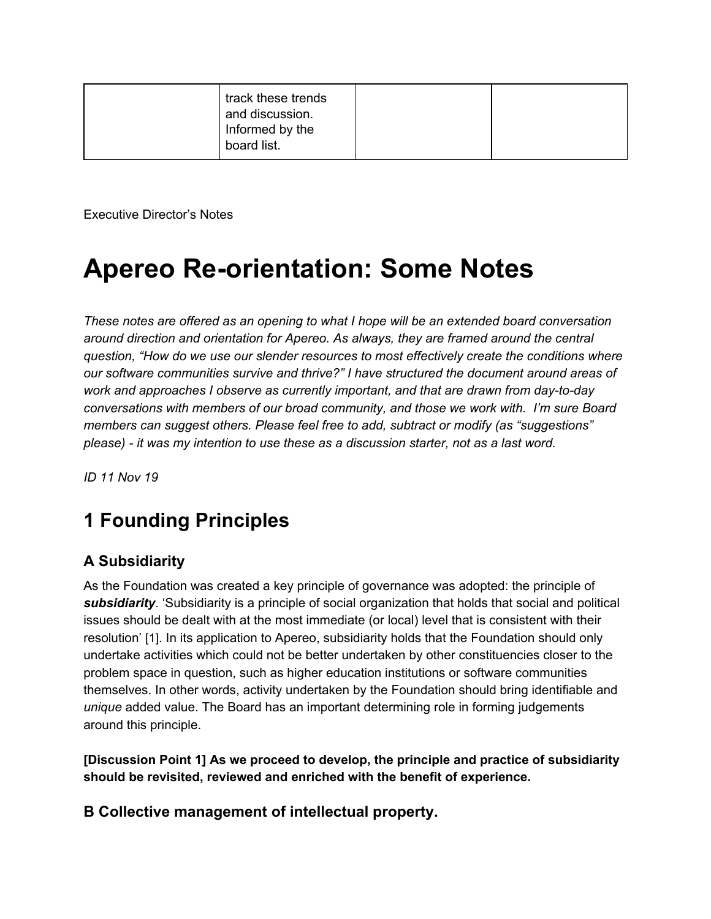| track these trends<br>and discussion.<br>Informed by the<br>board list. |  |
|-------------------------------------------------------------------------|--|
|-------------------------------------------------------------------------|--|

Executive Director's Notes

## **Apereo Re-orientation: Some Notes**

*These notes are offered as an opening to what I hope will be an extended board conversation around direction and orientation for Apereo. As always, they are framed around the central question, "How do we use our slender resources to most effectively create the conditions where our software communities survive and thrive?" I have structured the document around areas of work and approaches I observe as currently important, and that are drawn from day-to-day conversations with members of our broad community, and those we work with. I'm sure Board members can suggest others. Please feel free to add, subtract or modify (as "suggestions" please) - it was my intention to use these as a discussion starter, not as a last word.*

*ID 11 Nov 19*

## **1 Founding Principles**

#### **A Subsidiarity**

As the Foundation was created a key principle of governance was adopted: the principle of *subsidiarity*. 'Subsidiarity is a principle of social organization that holds that social and political issues should be dealt with at the most immediate (or local) level that is consistent with their resolution' [1]. In its application to Apereo, subsidiarity holds that the Foundation should only undertake activities which could not be better undertaken by other constituencies closer to the problem space in question, such as higher education institutions or software communities themselves. In other words, activity undertaken by the Foundation should bring identifiable and *unique* added value. The Board has an important determining role in forming judgements around this principle.

**[Discussion Point 1] As we proceed to develop, the principle and practice of subsidiarity should be revisited, reviewed and enriched with the benefit of experience.**

**B Collective management of intellectual property.**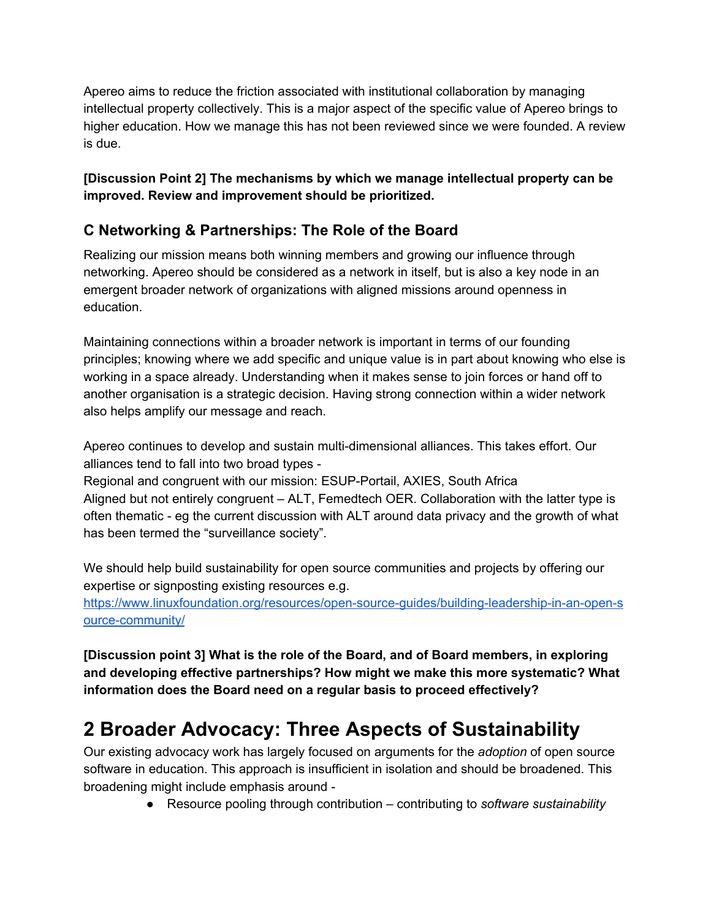Apereo aims to reduce the friction associated with institutional collaboration by managing intellectual property collectively. This is a major aspect of the specific value of Apereo brings to higher education. How we manage this has not been reviewed since we were founded. A review is due.

#### **[Discussion Point 2] The mechanisms by which we manage intellectual property can be improved. Review and improvement should be prioritized.**

#### **C Networking & Partnerships: The Role of the Board**

Realizing our mission means both winning members and growing our influence through networking. Apereo should be considered as a network in itself, but is also a key node in an emergent broader network of organizations with aligned missions around openness in education.

Maintaining connections within a broader network is important in terms of our founding principles; knowing where we add specific and unique value is in part about knowing who else is working in a space already. Understanding when it makes sense to join forces or hand off to another organisation is a strategic decision. Having strong connection within a wider network also helps amplify our message and reach.

Apereo continues to develop and sustain multi-dimensional alliances. This takes effort. Our alliances tend to fall into two broad types -

Regional and congruent with our mission: ESUP-Portail, AXIES, South Africa Aligned but not entirely congruent – ALT, Femedtech OER. Collaboration with the latter type is often thematic - eg the current discussion with ALT around data privacy and the growth of what has been termed the "surveillance society".

We should help build sustainability for open source communities and projects by offering our expertise or signposting existing resources e.g.

[https://www.linuxfoundation.org/resources/open-source-guides/building-leadership-in-an-open-s](https://www.linuxfoundation.org/resources/open-source-guides/building-leadership-in-an-open-source-community/) [ource-community/](https://www.linuxfoundation.org/resources/open-source-guides/building-leadership-in-an-open-source-community/)

**[Discussion point 3] What is the role of the Board, and of Board members, in exploring and developing effective partnerships? How might we make this more systematic? What information does the Board need on a regular basis to proceed effectively?**

## **2 Broader Advocacy: Three Aspects of Sustainability**

Our existing advocacy work has largely focused on arguments for the *adoption* of open source software in education. This approach is insufficient in isolation and should be broadened. This broadening might include emphasis around -

● Resource pooling through contribution – contributing to *software sustainability*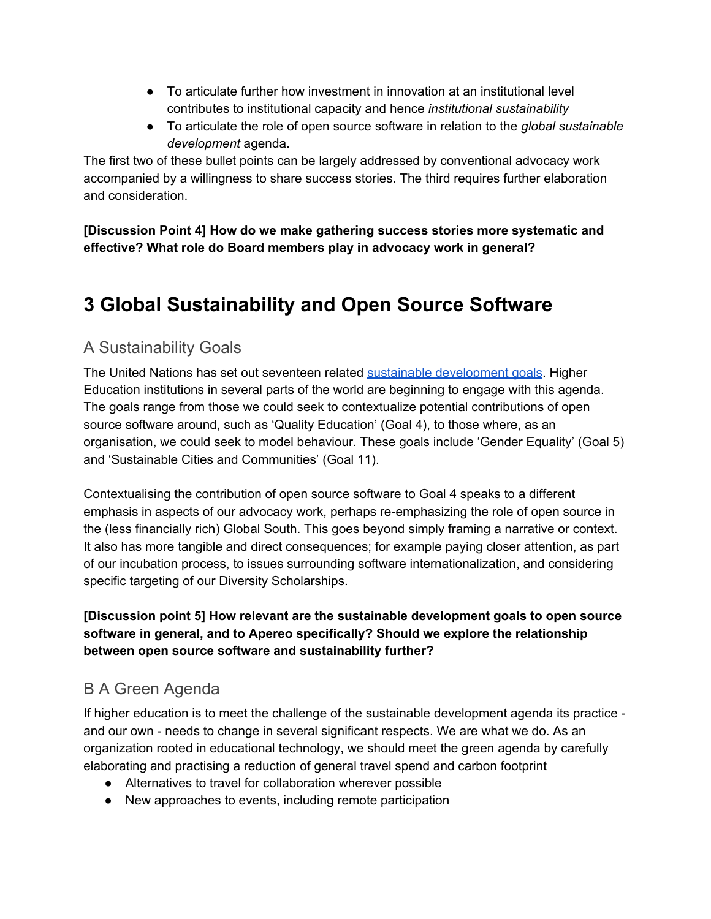- To articulate further how investment in innovation at an institutional level contributes to institutional capacity and hence *institutional sustainability*
- To articulate the role of open source software in relation to the *global sustainable development* agenda.

The first two of these bullet points can be largely addressed by conventional advocacy work accompanied by a willingness to share success stories. The third requires further elaboration and consideration.

**[Discussion Point 4] How do we make gathering success stories more systematic and effective? What role do Board members play in advocacy work in general?**

## **3 Global Sustainability and Open Source Software**

#### A Sustainability Goals

The United Nations has set out seventeen related sustainable [development](https://www.un.org/sustainabledevelopment/sustainable-development-goals/) goals. Higher Education institutions in several parts of the world are beginning to engage with this agenda. The goals range from those we could seek to contextualize potential contributions of open source software around, such as 'Quality Education' (Goal 4), to those where, as an organisation, we could seek to model behaviour. These goals include 'Gender Equality' (Goal 5) and 'Sustainable Cities and Communities' (Goal 11).

Contextualising the contribution of open source software to Goal 4 speaks to a different emphasis in aspects of our advocacy work, perhaps re-emphasizing the role of open source in the (less financially rich) Global South. This goes beyond simply framing a narrative or context. It also has more tangible and direct consequences; for example paying closer attention, as part of our incubation process, to issues surrounding software internationalization, and considering specific targeting of our Diversity Scholarships.

**[Discussion point 5] How relevant are the sustainable development goals to open source software in general, and to Apereo specifically? Should we explore the relationship between open source software and sustainability further?**

#### B A Green Agenda

If higher education is to meet the challenge of the sustainable development agenda its practice and our own - needs to change in several significant respects. We are what we do. As an organization rooted in educational technology, we should meet the green agenda by carefully elaborating and practising a reduction of general travel spend and carbon footprint

- Alternatives to travel for collaboration wherever possible
- New approaches to events, including remote participation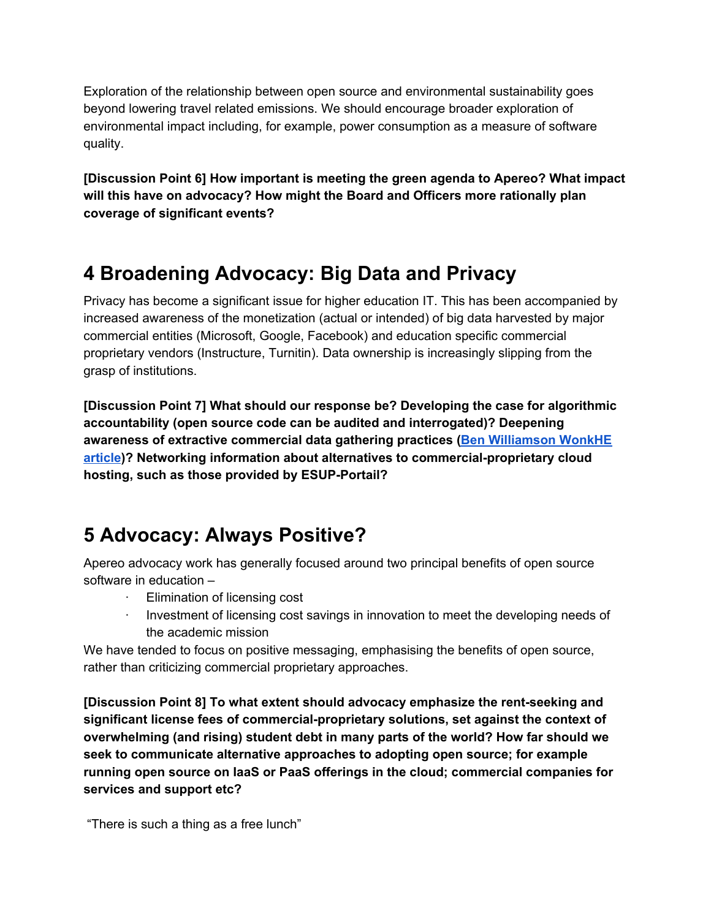Exploration of the relationship between open source and environmental sustainability goes beyond lowering travel related emissions. We should encourage broader exploration of environmental impact including, for example, power consumption as a measure of software quality.

**[Discussion Point 6] How important is meeting the green agenda to Apereo? What impact will this have on advocacy? How might the Board and Officers more rationally plan coverage of significant events?**

## **4 Broadening Advocacy: Big Data and Privacy**

Privacy has become a significant issue for higher education IT. This has been accompanied by increased awareness of the monetization (actual or intended) of big data harvested by major commercial entities (Microsoft, Google, Facebook) and education specific commercial proprietary vendors (Instructure, Turnitin). Data ownership is increasingly slipping from the grasp of institutions.

**[Discussion Point 7] What should our response be? Developing the case for algorithmic accountability (open source code can be audited and interrogated)? Deepening awareness of extractive commercial data gathering practices (Ben [Williamson](https://wonkhe.com/blogs/the-platform-university-a-new-data-driven-business-model-for-profiting-from-he/) WonkHE [article](https://wonkhe.com/blogs/the-platform-university-a-new-data-driven-business-model-for-profiting-from-he/))? Networking information about alternatives to commercial-proprietary cloud hosting, such as those provided by ESUP-Portail?**

## **5 Advocacy: Always Positive?**

Apereo advocacy work has generally focused around two principal benefits of open source software in education –

- · Elimination of licensing cost
- · Investment of licensing cost savings in innovation to meet the developing needs of the academic mission

We have tended to focus on positive messaging, emphasising the benefits of open source, rather than criticizing commercial proprietary approaches.

**[Discussion Point 8] To what extent should advocacy emphasize the rent-seeking and significant license fees of commercial-proprietary solutions, set against the context of overwhelming (and rising) student debt in many parts of the world? How far should we seek to communicate alternative approaches to adopting open source; for example running open source on IaaS or PaaS offerings in the cloud; commercial companies for services and support etc?**

"There is such a thing as a free lunch"